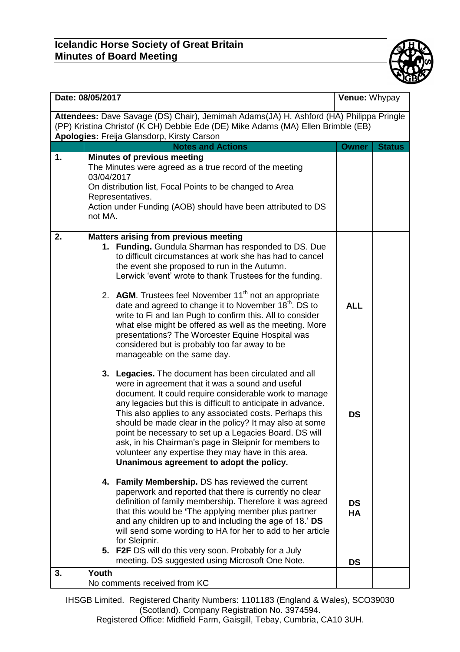## **Icelandic Horse Society of Great Britain Minutes of Board Meeting**



| Date: 08/05/2017                                                                                                                                                                                                         |                                                                                                                                                                                                                                                                                                                                                                                                                                                                                                                                                                                                                                                                                                                                                                                                                                                                                                                                                                                                                                                                                                                                                                                                                                                                                                                                                                                                                                                                                                                                                                                                                                                                                                                                                                   |                                                                | Venue: Whypay |  |  |
|--------------------------------------------------------------------------------------------------------------------------------------------------------------------------------------------------------------------------|-------------------------------------------------------------------------------------------------------------------------------------------------------------------------------------------------------------------------------------------------------------------------------------------------------------------------------------------------------------------------------------------------------------------------------------------------------------------------------------------------------------------------------------------------------------------------------------------------------------------------------------------------------------------------------------------------------------------------------------------------------------------------------------------------------------------------------------------------------------------------------------------------------------------------------------------------------------------------------------------------------------------------------------------------------------------------------------------------------------------------------------------------------------------------------------------------------------------------------------------------------------------------------------------------------------------------------------------------------------------------------------------------------------------------------------------------------------------------------------------------------------------------------------------------------------------------------------------------------------------------------------------------------------------------------------------------------------------------------------------------------------------|----------------------------------------------------------------|---------------|--|--|
| Attendees: Dave Savage (DS) Chair), Jemimah Adams(JA) H. Ashford (HA) Philippa Pringle<br>(PP) Kristina Christof (K CH) Debbie Ede (DE) Mike Adams (MA) Ellen Brimble (EB)<br>Apologies: Freija Glansdorp, Kirsty Carson |                                                                                                                                                                                                                                                                                                                                                                                                                                                                                                                                                                                                                                                                                                                                                                                                                                                                                                                                                                                                                                                                                                                                                                                                                                                                                                                                                                                                                                                                                                                                                                                                                                                                                                                                                                   |                                                                |               |  |  |
|                                                                                                                                                                                                                          | <b>Notes and Actions</b>                                                                                                                                                                                                                                                                                                                                                                                                                                                                                                                                                                                                                                                                                                                                                                                                                                                                                                                                                                                                                                                                                                                                                                                                                                                                                                                                                                                                                                                                                                                                                                                                                                                                                                                                          | <b>Owner</b>                                                   | <b>Status</b> |  |  |
| 1.                                                                                                                                                                                                                       | <b>Minutes of previous meeting</b><br>The Minutes were agreed as a true record of the meeting<br>03/04/2017<br>On distribution list, Focal Points to be changed to Area<br>Representatives.<br>Action under Funding (AOB) should have been attributed to DS<br>not MA.                                                                                                                                                                                                                                                                                                                                                                                                                                                                                                                                                                                                                                                                                                                                                                                                                                                                                                                                                                                                                                                                                                                                                                                                                                                                                                                                                                                                                                                                                            |                                                                |               |  |  |
| 2.                                                                                                                                                                                                                       | <b>Matters arising from previous meeting</b><br>1. Funding. Gundula Sharman has responded to DS. Due<br>to difficult circumstances at work she has had to cancel<br>the event she proposed to run in the Autumn.<br>Lerwick 'event' wrote to thank Trustees for the funding.<br>2. AGM. Trustees feel November 11 <sup>th</sup> not an appropriate<br>date and agreed to change it to November 18 <sup>th</sup> . DS to<br>write to Fi and Ian Pugh to confirm this. All to consider<br>what else might be offered as well as the meeting. More<br>presentations? The Worcester Equine Hospital was<br>considered but is probably too far away to be<br>manageable on the same day.<br>3. Legacies. The document has been circulated and all<br>were in agreement that it was a sound and useful<br>document. It could require considerable work to manage<br>any legacies but this is difficult to anticipate in advance.<br>This also applies to any associated costs. Perhaps this<br>should be made clear in the policy? It may also at some<br>point be necessary to set up a Legacies Board. DS will<br>ask, in his Chairman's page in Sleipnir for members to<br>volunteer any expertise they may have in this area.<br>Unanimous agreement to adopt the policy.<br>4. Family Membership. DS has reviewed the current<br>paperwork and reported that there is currently no clear<br>definition of family membership. Therefore it was agreed<br>that this would be 'The applying member plus partner<br>and any children up to and including the age of 18.' DS<br>will send some wording to HA for her to add to her article<br>for Sleipnir.<br>5. F2F DS will do this very soon. Probably for a July<br>meeting. DS suggested using Microsoft One Note. | <b>ALL</b><br><b>DS</b><br><b>DS</b><br><b>HA</b><br><b>DS</b> |               |  |  |
| 3.                                                                                                                                                                                                                       | Youth<br>No comments received from KC                                                                                                                                                                                                                                                                                                                                                                                                                                                                                                                                                                                                                                                                                                                                                                                                                                                                                                                                                                                                                                                                                                                                                                                                                                                                                                                                                                                                                                                                                                                                                                                                                                                                                                                             |                                                                |               |  |  |
|                                                                                                                                                                                                                          |                                                                                                                                                                                                                                                                                                                                                                                                                                                                                                                                                                                                                                                                                                                                                                                                                                                                                                                                                                                                                                                                                                                                                                                                                                                                                                                                                                                                                                                                                                                                                                                                                                                                                                                                                                   |                                                                |               |  |  |

IHSGB Limited. Registered Charity Numbers: 1101183 (England & Wales), SCO39030 (Scotland). Company Registration No. 3974594. Registered Office: Midfield Farm, Gaisgill, Tebay, Cumbria, CA10 3UH.